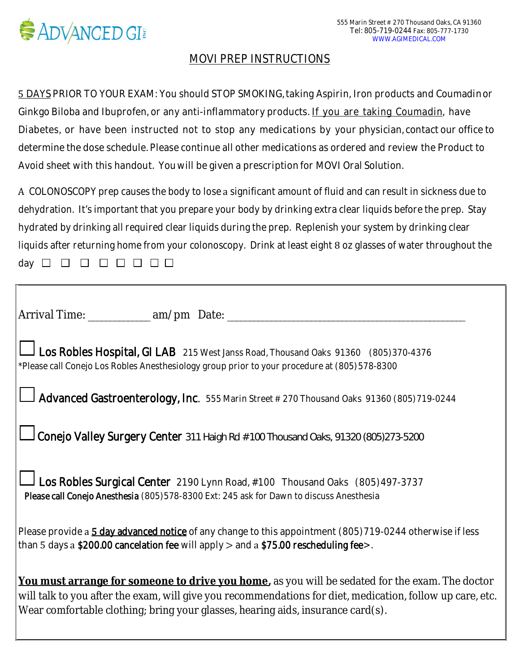

## MOVI PREP INSTRUCTIONS

5 DAYS PRIOR TO YOUR EXAM: You should STOP SMOKING, taking Aspirin, Iron products and Coumadinor Ginkgo Biloba and Ibuprofen, or any anti-inflammatory products. If you are taking Coumadin, have Diabetes, or have been instructed not to stop any medications by your physician, contact our office to determine the dose schedule. Please continue all other medications as ordered and review the Product to Avoid sheet with this handout. Youwill be given a prescription for MOVI Oral Solution.

 $\AA$  COLONOSCOPY prep causes the body to lose a significant amount of fluid and can result in sickness due to dehydration. It's important that you prepare your body by drinking extra clear liquids before the prep. Stay hydrated by drinking all required clear liquids during the prep. Replenish your system by drinking clear liquids after returning home from your colonoscopy. Drink at least eight  $8$  oz glasses of water throughout the day 

| Arrival Time: ____________ am/pm_Date: _________                                                                                                                                                                                                                                                |
|-------------------------------------------------------------------------------------------------------------------------------------------------------------------------------------------------------------------------------------------------------------------------------------------------|
| Los Robles Hospital, GI LAB 215 West Janss Road, Thousand Oaks 91360 (805)370-4376<br>*Please call Conejo Los Robles Anesthesiology group prior to your procedure at (805) 578-8300                                                                                                             |
| Advanced Gastroenterology, Inc. 555 Marin Street # 270 Thousand Oaks 91360 (805)719-0244                                                                                                                                                                                                        |
| <b>Conejo Valley Surgery Center</b> 311 Haigh Rd # 100 Thousand Oaks, 91320 (805)273-5200                                                                                                                                                                                                       |
| Los Robles Surgical Center 2190 Lynn Road, #100 Thousand Oaks (805)497-3737<br>Please call Conejo Anesthesia (805)578-8300 Ext: 245 ask for Dawn to discuss Anesthesia                                                                                                                          |
| Please provide a 5 day advanced notice of any change to this appointment (805)719-0244 otherwise if less<br><b>than 5 days a \$200.00 cancelation fee will apply <math>&gt;</math> and a \$75.00 rescheduling fee<math>&gt;</math>.</b>                                                         |
| You must arrange for someone to drive you home, as you will be sedated for the exam. The doctor<br>will talk to you after the exam, will give you recommendations for diet, medication, follow up care, etc.<br>Wear comfortable clothing; bring your glasses, hearing aids, insurance card(s). |